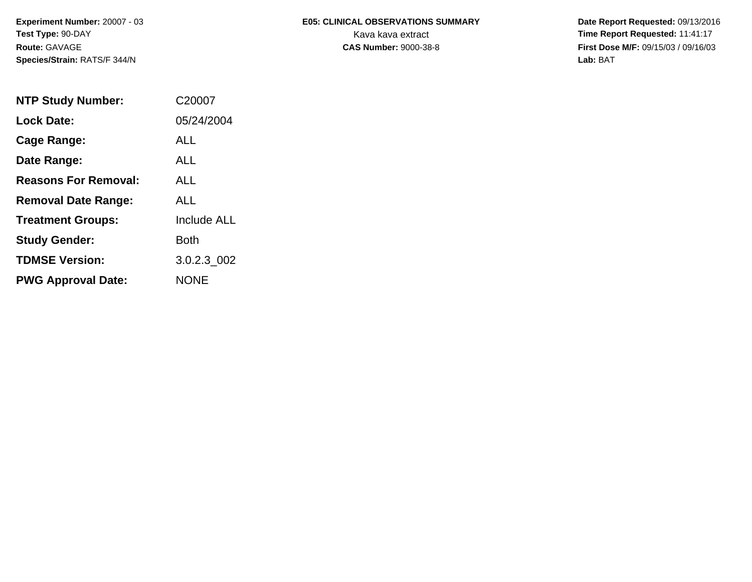**Experiment Number:** 20007 - 03**Test Type:** 90-DAY**Route:** GAVAGE**Species/Strain:** RATS/F 344/N

# **E05: CLINICAL OBSERVATIONS SUMMARY**

 **Date Report Requested:** 09/13/2016 Kava kava extract **Time Report Requested:** 11:41:17<br>**CAS Number:** 9000-38-8 **Time Report Requested:** 11:41:17 **First Dose M/F:** 09/15/03 / 09/16/03<br>Lab: BAT **Lab:** BAT

| <b>NTP Study Number:</b>    | C20007             |
|-----------------------------|--------------------|
| <b>Lock Date:</b>           | 05/24/2004         |
| Cage Range:                 | ALL                |
| Date Range:                 | ALL.               |
| <b>Reasons For Removal:</b> | ALL.               |
| <b>Removal Date Range:</b>  | ALL                |
| <b>Treatment Groups:</b>    | <b>Include ALL</b> |
| <b>Study Gender:</b>        | Both               |
| <b>TDMSE Version:</b>       | 3.0.2.3 002        |
| <b>PWG Approval Date:</b>   | <b>NONE</b>        |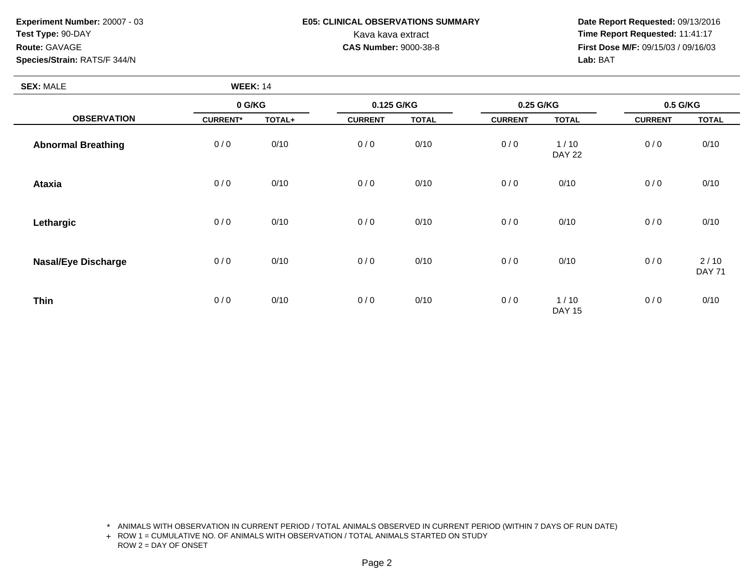**Experiment Number:** 20007 - 03**Test Type:** 90-DAY**Route:** GAVAGE**Species/Strain:** RATS/F 344/N

## **E05: CLINICAL OBSERVATIONS SUMMARY**

 **Date Report Requested:** 09/13/2016 Kava kava extract **Time Report Requested:** 11:41:17<br>**CAS Number:** 9000-38-8 **Time Report Requested:** 11:41:17 **First Dose M/F:** 09/15/03 / 09/16/03<br>Lab: BAT **Lab:** BAT

| <b>SEX: MALE</b>           | <b>WEEK: 14</b> |        |                |              |                |                       |                |                         |
|----------------------------|-----------------|--------|----------------|--------------|----------------|-----------------------|----------------|-------------------------|
|                            | 0 G/KG          |        | 0.125 G/KG     |              | 0.25 G/KG      |                       | 0.5 G/KG       |                         |
| <b>OBSERVATION</b>         | <b>CURRENT*</b> | TOTAL+ | <b>CURRENT</b> | <b>TOTAL</b> | <b>CURRENT</b> | <b>TOTAL</b>          | <b>CURRENT</b> | <b>TOTAL</b>            |
| <b>Abnormal Breathing</b>  | 0/0             | 0/10   | 0/0            | 0/10         | 0/0            | 1/10<br><b>DAY 22</b> | 0/0            | 0/10                    |
| <b>Ataxia</b>              | 0/0             | 0/10   | 0/0            | 0/10         | 0/0            | 0/10                  | 0/0            | 0/10                    |
| Lethargic                  | 0/0             | 0/10   | 0/0            | 0/10         | 0/0            | 0/10                  | 0/0            | 0/10                    |
| <b>Nasal/Eye Discharge</b> | 0/0             | 0/10   | 0/0            | 0/10         | 0/0            | 0/10                  | 0/0            | $2/10$<br><b>DAY 71</b> |
| <b>Thin</b>                | 0/0             | 0/10   | 0/0            | 0/10         | 0/0            | 1/10<br><b>DAY 15</b> | 0/0            | 0/10                    |

\* ANIMALS WITH OBSERVATION IN CURRENT PERIOD / TOTAL ANIMALS OBSERVED IN CURRENT PERIOD (WITHIN 7 DAYS OF RUN DATE)

+ ROW 1 = CUMULATIVE NO. OF ANIMALS WITH OBSERVATION / TOTAL ANIMALS STARTED ON STUDY ROW 2 = DAY OF ONSET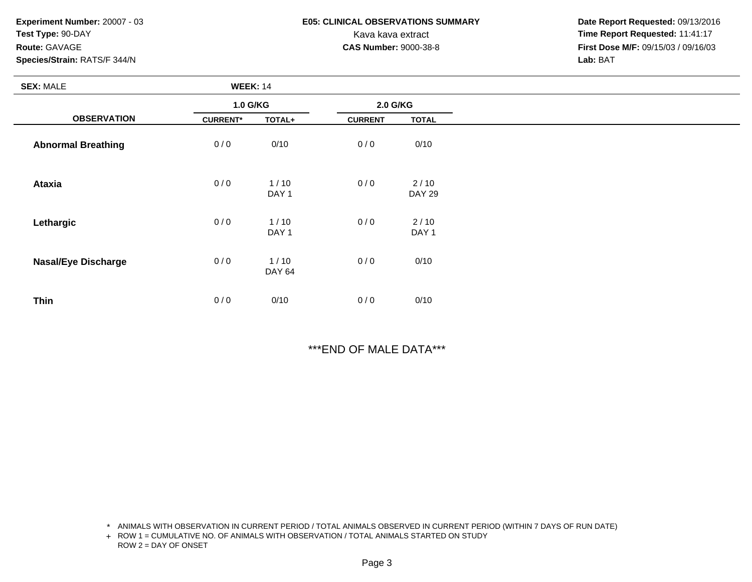**Experiment Number:** 20007 - 03**Test Type:** 90-DAY**Route:** GAVAGE**Species/Strain:** RATS/F 344/N

### **E05: CLINICAL OBSERVATIONS SUMMARY**

 **Date Report Requested:** 09/13/2016 Kava kava extract **Time Report Requested:** 11:41:17<br>**CAS Number:** 9000-38-8 **Time Report Requested:** 11:41:17 **First Dose M/F:** 09/15/03 / 09/16/03<br>**Lab:** BAT **Lab:** BAT

| <b>SEX: MALE</b>           | <b>WEEK: 14</b> |                          |                |                          |
|----------------------------|-----------------|--------------------------|----------------|--------------------------|
|                            | 1.0 G/KG        |                          | 2.0 G/KG       |                          |
| <b>OBSERVATION</b>         | <b>CURRENT*</b> | TOTAL+                   | <b>CURRENT</b> | <b>TOTAL</b>             |
| <b>Abnormal Breathing</b>  | 0/0             | 0/10                     | 0/0            | 0/10                     |
| <b>Ataxia</b>              | 0/0             | 1/10<br>DAY <sub>1</sub> | 0/0            | 2/10<br><b>DAY 29</b>    |
| Lethargic                  | 0/0             | 1/10<br>DAY <sub>1</sub> | 0/0            | 2/10<br>DAY <sub>1</sub> |
| <b>Nasal/Eye Discharge</b> | 0/0             | 1/10<br><b>DAY 64</b>    | 0/0            | 0/10                     |
| <b>Thin</b>                | 0/0             | 0/10                     | 0/0            | 0/10                     |

\*\*\*END OF MALE DATA\*\*\*

\* ANIMALS WITH OBSERVATION IN CURRENT PERIOD / TOTAL ANIMALS OBSERVED IN CURRENT PERIOD (WITHIN 7 DAYS OF RUN DATE)

+ ROW 1 = CUMULATIVE NO. OF ANIMALS WITH OBSERVATION / TOTAL ANIMALS STARTED ON STUDY ROW 2 = DAY OF ONSET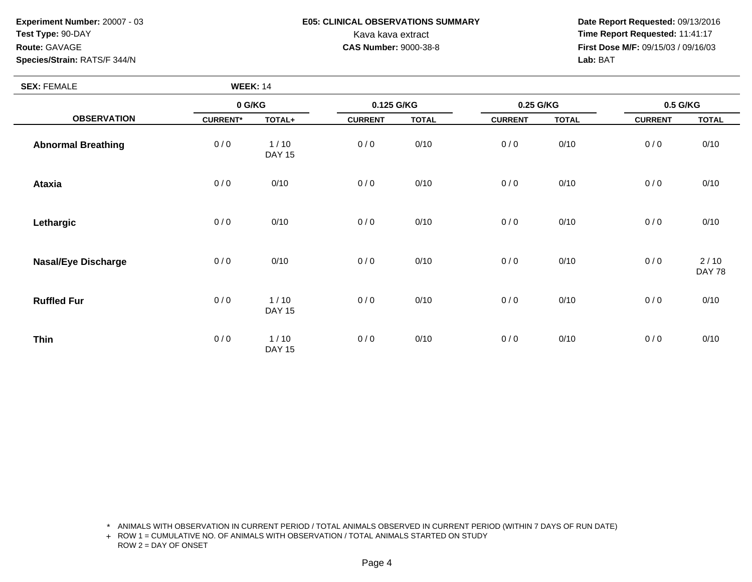**Experiment Number:** 20007 - 03**Test Type:** 90-DAY**Route:** GAVAGE

### **Species/Strain:** RATS/F 344/N

## **E05: CLINICAL OBSERVATIONS SUMMARY**

 **Date Report Requested:** 09/13/2016 Kava kava extract **Time Report Requested:** 11:41:17<br>**CAS Number:** 9000-38-8 **Time Report Requested:** 11:41:17 **First Dose M/F:** 09/15/03 / 09/16/03<br>Lab: BAT **Lab:** BAT

| <b>SEX: FEMALE</b>         | <b>WEEK: 14</b> |                       |                |              |                |              |                |                       |
|----------------------------|-----------------|-----------------------|----------------|--------------|----------------|--------------|----------------|-----------------------|
|                            | 0 G/KG          |                       | 0.125 G/KG     |              | 0.25 G/KG      |              | 0.5 G/KG       |                       |
| <b>OBSERVATION</b>         | <b>CURRENT*</b> | TOTAL+                | <b>CURRENT</b> | <b>TOTAL</b> | <b>CURRENT</b> | <b>TOTAL</b> | <b>CURRENT</b> | <b>TOTAL</b>          |
| <b>Abnormal Breathing</b>  | 0/0             | 1/10<br><b>DAY 15</b> | 0/0            | 0/10         | 0/0            | 0/10         | 0/0            | 0/10                  |
| <b>Ataxia</b>              | 0/0             | 0/10                  | 0/0            | 0/10         | 0/0            | 0/10         | 0/0            | 0/10                  |
| Lethargic                  | 0/0             | 0/10                  | 0/0            | 0/10         | 0/0            | 0/10         | 0/0            | 0/10                  |
| <b>Nasal/Eye Discharge</b> | 0/0             | 0/10                  | 0/0            | 0/10         | 0/0            | 0/10         | 0/0            | 2/10<br><b>DAY 78</b> |
| <b>Ruffled Fur</b>         | 0/0             | 1/10<br><b>DAY 15</b> | 0/0            | 0/10         | 0/0            | 0/10         | 0/0            | 0/10                  |
| <b>Thin</b>                | 0/0             | 1/10<br><b>DAY 15</b> | 0/0            | 0/10         | 0/0            | 0/10         | 0/0            | 0/10                  |

\* ANIMALS WITH OBSERVATION IN CURRENT PERIOD / TOTAL ANIMALS OBSERVED IN CURRENT PERIOD (WITHIN 7 DAYS OF RUN DATE)

+ ROW 1 = CUMULATIVE NO. OF ANIMALS WITH OBSERVATION / TOTAL ANIMALS STARTED ON STUDY ROW 2 = DAY OF ONSET